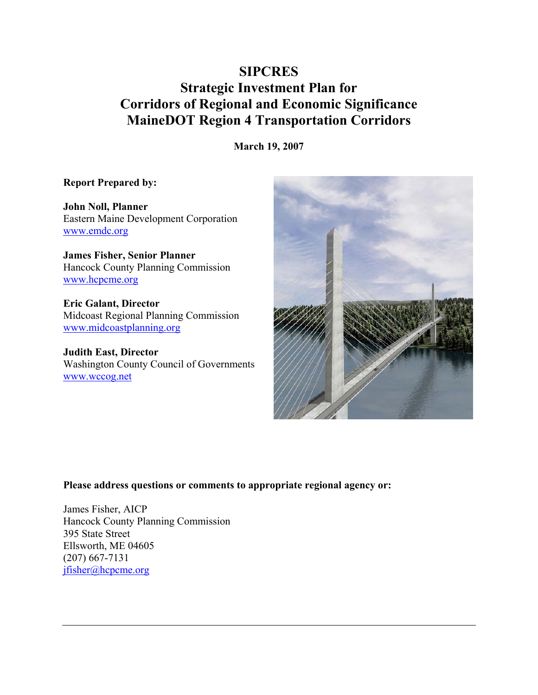# **SIPCRES** Strategic Investment Plan for Corridors of Regional and Economic Significance MaineDOT Region 4 Transportation Corridors

March 19, 2007

## Report Prepared by:

John Noll, Planner Eastern Maine Development Corporation www.emdc.org

James Fisher, Senior Planner Hancock County Planning Commission www.hcpcme.org

Eric Galant, Director Midcoast Regional Planning Commission www.midcoastplanning.org

Judith East, Director Washington County Council of Governments www.wccog.net



### Please address questions or comments to appropriate regional agency or:

James Fisher, AICP Hancock County Planning Commission 395 State Street Ellsworth, ME 04605 (207) 667-7131 jfisher@hcpcme.org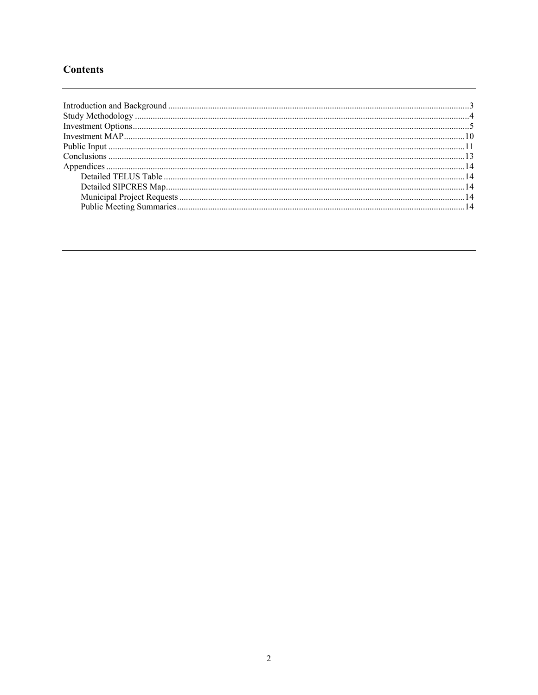# **Contents**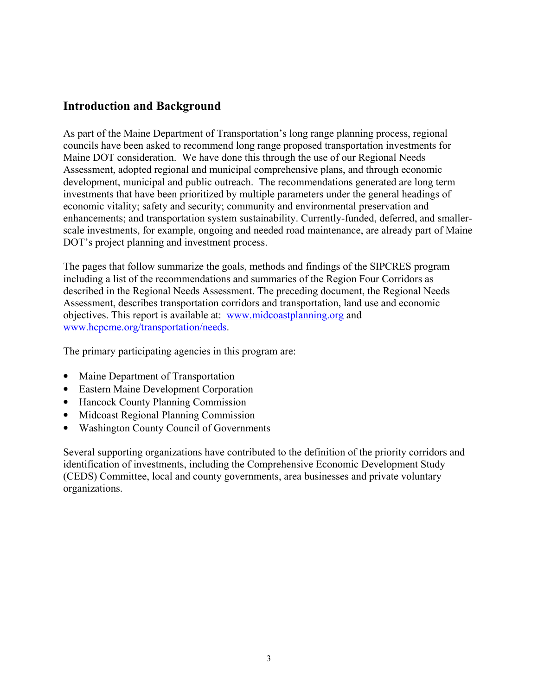## Introduction and Background

As part of the Maine Department of Transportation's long range planning process, regional councils have been asked to recommend long range proposed transportation investments for Maine DOT consideration. We have done this through the use of our Regional Needs Assessment, adopted regional and municipal comprehensive plans, and through economic development, municipal and public outreach. The recommendations generated are long term investments that have been prioritized by multiple parameters under the general headings of economic vitality; safety and security; community and environmental preservation and enhancements; and transportation system sustainability. Currently-funded, deferred, and smallerscale investments, for example, ongoing and needed road maintenance, are already part of Maine DOT's project planning and investment process.

The pages that follow summarize the goals, methods and findings of the SIPCRES program including a list of the recommendations and summaries of the Region Four Corridors as described in the Regional Needs Assessment. The preceding document, the Regional Needs Assessment, describes transportation corridors and transportation, land use and economic objectives. This report is available at: www.midcoastplanning.org and www.hcpcme.org/transportation/needs.

The primary participating agencies in this program are:

- Maine Department of Transportation
- Eastern Maine Development Corporation
- Hancock County Planning Commission
- Midcoast Regional Planning Commission
- Washington County Council of Governments

Several supporting organizations have contributed to the definition of the priority corridors and identification of investments, including the Comprehensive Economic Development Study (CEDS) Committee, local and county governments, area businesses and private voluntary organizations.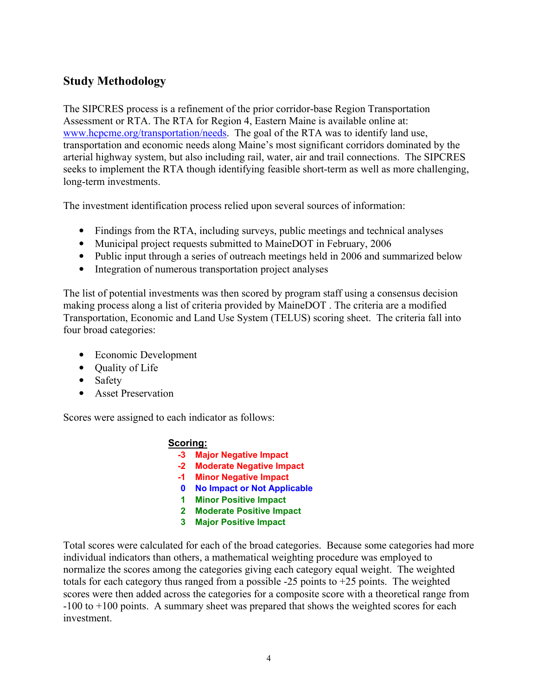# Study Methodology

The SIPCRES process is a refinement of the prior corridor-base Region Transportation Assessment or RTA. The RTA for Region 4, Eastern Maine is available online at: www.hcpcme.org/transportation/needs. The goal of the RTA was to identify land use, transportation and economic needs along Maine's most significant corridors dominated by the arterial highway system, but also including rail, water, air and trail connections. The SIPCRES seeks to implement the RTA though identifying feasible short-term as well as more challenging, long-term investments.

The investment identification process relied upon several sources of information:

- Findings from the RTA, including surveys, public meetings and technical analyses
- Municipal project requests submitted to MaineDOT in February, 2006
- Public input through a series of outreach meetings held in 2006 and summarized below
- Integration of numerous transportation project analyses

The list of potential investments was then scored by program staff using a consensus decision making process along a list of criteria provided by MaineDOT . The criteria are a modified Transportation, Economic and Land Use System (TELUS) scoring sheet. The criteria fall into four broad categories:

- Economic Development
- Quality of Life
- Safety
- Asset Preservation

Scores were assigned to each indicator as follows:

### Scoring:

- -3 Major Negative Impact
- -2 Moderate Negative Impact
- -1 Minor Negative Impact
- 0 No Impact or Not Applicable
- 1 Minor Positive Impact
- 2 Moderate Positive Impact
- 3 Major Positive Impact

Total scores were calculated for each of the broad categories. Because some categories had more individual indicators than others, a mathematical weighting procedure was employed to normalize the scores among the categories giving each category equal weight. The weighted totals for each category thus ranged from a possible  $-25$  points to  $+25$  points. The weighted scores were then added across the categories for a composite score with a theoretical range from -100 to +100 points. A summary sheet was prepared that shows the weighted scores for each investment.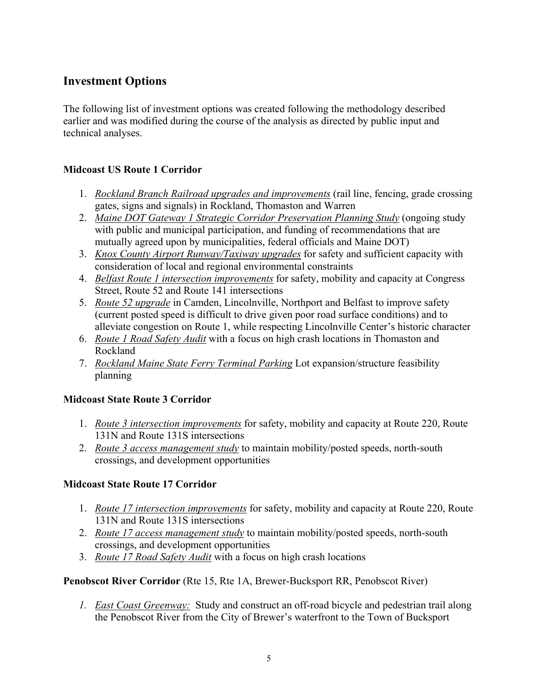# Investment Options

The following list of investment options was created following the methodology described earlier and was modified during the course of the analysis as directed by public input and technical analyses.

## Midcoast US Route 1 Corridor

- 1. Rockland Branch Railroad upgrades and improvements (rail line, fencing, grade crossing gates, signs and signals) in Rockland, Thomaston and Warren
- 2. Maine DOT Gateway 1 Strategic Corridor Preservation Planning Study (ongoing study with public and municipal participation, and funding of recommendations that are mutually agreed upon by municipalities, federal officials and Maine DOT)
- 3. Knox County Airport Runway/Taxiway upgrades for safety and sufficient capacity with consideration of local and regional environmental constraints
- 4. Belfast Route 1 intersection improvements for safety, mobility and capacity at Congress Street, Route 52 and Route 141 intersections
- 5. Route 52 upgrade in Camden, Lincolnville, Northport and Belfast to improve safety (current posted speed is difficult to drive given poor road surface conditions) and to alleviate congestion on Route 1, while respecting Lincolnville Center's historic character
- 6. Route 1 Road Safety Audit with a focus on high crash locations in Thomaston and Rockland
- 7. Rockland Maine State Ferry Terminal Parking Lot expansion/structure feasibility planning

## Midcoast State Route 3 Corridor

- 1. *Route 3 intersection improvements* for safety, mobility and capacity at Route 220, Route 131N and Route 131S intersections
- 2. *Route 3 access management study* to maintain mobility/posted speeds, north-south crossings, and development opportunities

## Midcoast State Route 17 Corridor

- 1. *Route 17 intersection improvements* for safety, mobility and capacity at Route 220, Route 131N and Route 131S intersections
- 2. *Route 17 access management study* to maintain mobility/posted speeds, north-south crossings, and development opportunities
- 3. Route 17 Road Safety Audit with a focus on high crash locations

Penobscot River Corridor (Rte 15, Rte 1A, Brewer-Bucksport RR, Penobscot River)

1. East Coast Greenway: Study and construct an off-road bicycle and pedestrian trail along the Penobscot River from the City of Brewer's waterfront to the Town of Bucksport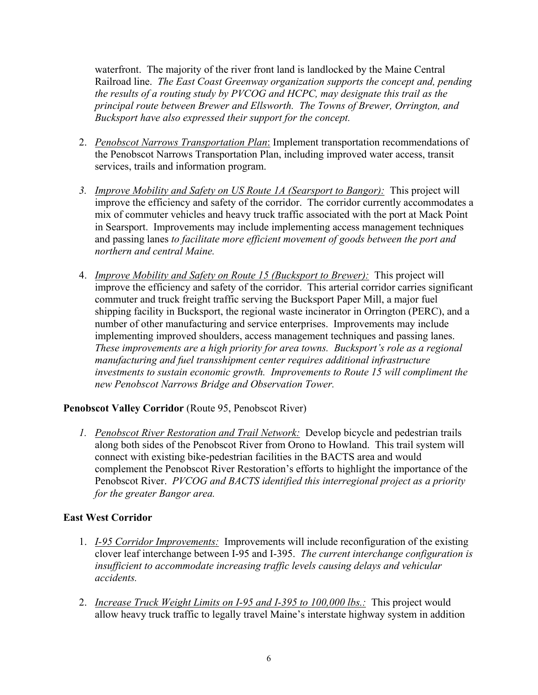waterfront. The majority of the river front land is landlocked by the Maine Central Railroad line. The East Coast Greenway organization supports the concept and, pending the results of a routing study by PVCOG and HCPC, may designate this trail as the principal route between Brewer and Ellsworth. The Towns of Brewer, Orrington, and Bucksport have also expressed their support for the concept.

- 2. Penobscot Narrows Transportation Plan: Implement transportation recommendations of the Penobscot Narrows Transportation Plan, including improved water access, transit services, trails and information program.
- 3. Improve Mobility and Safety on US Route 1A (Searsport to Bangor): This project will improve the efficiency and safety of the corridor. The corridor currently accommodates a mix of commuter vehicles and heavy truck traffic associated with the port at Mack Point in Searsport. Improvements may include implementing access management techniques and passing lanes to facilitate more efficient movement of goods between the port and northern and central Maine.
- 4. *Improve Mobility and Safety on Route 15 (Bucksport to Brewer)*: This project will improve the efficiency and safety of the corridor. This arterial corridor carries significant commuter and truck freight traffic serving the Bucksport Paper Mill, a major fuel shipping facility in Bucksport, the regional waste incinerator in Orrington (PERC), and a number of other manufacturing and service enterprises. Improvements may include implementing improved shoulders, access management techniques and passing lanes. These improvements are a high priority for area towns. Bucksport's role as a regional manufacturing and fuel transshipment center requires additional infrastructure investments to sustain economic growth. Improvements to Route 15 will compliment the new Penobscot Narrows Bridge and Observation Tower.

## Penobscot Valley Corridor (Route 95, Penobscot River)

1. Penobscot River Restoration and Trail Network: Develop bicycle and pedestrian trails along both sides of the Penobscot River from Orono to Howland. This trail system will connect with existing bike-pedestrian facilities in the BACTS area and would complement the Penobscot River Restoration's efforts to highlight the importance of the Penobscot River. PVCOG and BACTS identified this interregional project as a priority for the greater Bangor area.

## East West Corridor

- 1. I-95 Corridor Improvements: Improvements will include reconfiguration of the existing clover leaf interchange between I-95 and I-395. The current interchange configuration is insufficient to accommodate increasing traffic levels causing delays and vehicular accidents.
- 2. Increase Truck Weight Limits on I-95 and I-395 to 100,000 lbs.: This project would allow heavy truck traffic to legally travel Maine's interstate highway system in addition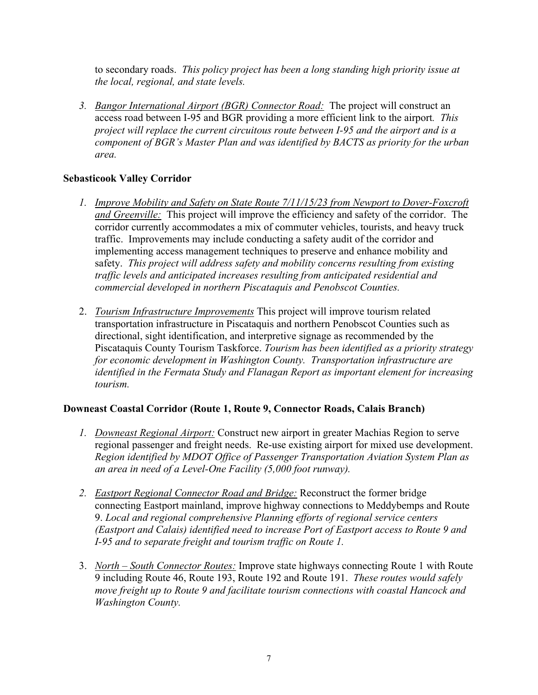to secondary roads. This policy project has been a long standing high priority issue at the local, regional, and state levels.

3. Bangor International Airport (BGR) Connector Road: The project will construct an access road between I-95 and BGR providing a more efficient link to the airport. This project will replace the current circuitous route between I-95 and the airport and is a component of BGR's Master Plan and was identified by BACTS as priority for the urban area.

## Sebasticook Valley Corridor

- 1. Improve Mobility and Safety on State Route 7/11/15/23 from Newport to Dover-Foxcroft and Greenville: This project will improve the efficiency and safety of the corridor. The corridor currently accommodates a mix of commuter vehicles, tourists, and heavy truck traffic. Improvements may include conducting a safety audit of the corridor and implementing access management techniques to preserve and enhance mobility and safety. This project will address safety and mobility concerns resulting from existing traffic levels and anticipated increases resulting from anticipated residential and commercial developed in northern Piscataquis and Penobscot Counties.
- 2. Tourism Infrastructure Improvements This project will improve tourism related transportation infrastructure in Piscataquis and northern Penobscot Counties such as directional, sight identification, and interpretive signage as recommended by the Piscataquis County Tourism Taskforce. Tourism has been identified as a priority strategy for economic development in Washington County. Transportation infrastructure are identified in the Fermata Study and Flanagan Report as important element for increasing tourism.

## Downeast Coastal Corridor (Route 1, Route 9, Connector Roads, Calais Branch)

- 1. Downeast Regional Airport: Construct new airport in greater Machias Region to serve regional passenger and freight needs. Re-use existing airport for mixed use development. Region identified by MDOT Office of Passenger Transportation Aviation System Plan as an area in need of a Level-One Facility (5,000 foot runway).
- 2. Eastport Regional Connector Road and Bridge: Reconstruct the former bridge connecting Eastport mainland, improve highway connections to Meddybemps and Route 9. Local and regional comprehensive Planning efforts of regional service centers (Eastport and Calais) identified need to increase Port of Eastport access to Route 9 and I-95 and to separate freight and tourism traffic on Route 1.
- 3. North South Connector Routes: Improve state highways connecting Route 1 with Route 9 including Route 46, Route 193, Route 192 and Route 191. These routes would safely move freight up to Route 9 and facilitate tourism connections with coastal Hancock and Washington County.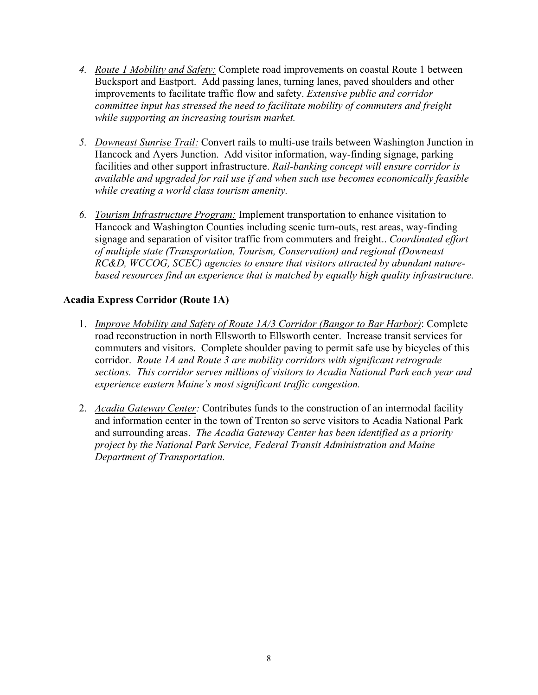- 4. Route 1 Mobility and Safety: Complete road improvements on coastal Route 1 between Bucksport and Eastport. Add passing lanes, turning lanes, paved shoulders and other improvements to facilitate traffic flow and safety. Extensive public and corridor committee input has stressed the need to facilitate mobility of commuters and freight while supporting an increasing tourism market.
- 5. Downeast Sunrise Trail: Convert rails to multi-use trails between Washington Junction in Hancock and Ayers Junction. Add visitor information, way-finding signage, parking facilities and other support infrastructure. Rail-banking concept will ensure corridor is available and upgraded for rail use if and when such use becomes economically feasible while creating a world class tourism amenity.
- 6. Tourism Infrastructure Program: Implement transportation to enhance visitation to Hancock and Washington Counties including scenic turn-outs, rest areas, way-finding signage and separation of visitor traffic from commuters and freight.. Coordinated effort of multiple state (Transportation, Tourism, Conservation) and regional (Downeast RC&D, WCCOG, SCEC) agencies to ensure that visitors attracted by abundant naturebased resources find an experience that is matched by equally high quality infrastructure.

## Acadia Express Corridor (Route 1A)

- 1. Improve Mobility and Safety of Route 1A/3 Corridor (Bangor to Bar Harbor): Complete road reconstruction in north Ellsworth to Ellsworth center. Increase transit services for commuters and visitors. Complete shoulder paving to permit safe use by bicycles of this corridor. Route 1A and Route 3 are mobility corridors with significant retrograde sections. This corridor serves millions of visitors to Acadia National Park each year and experience eastern Maine's most significant traffic congestion.
- 2. Acadia Gateway Center: Contributes funds to the construction of an intermodal facility and information center in the town of Trenton so serve visitors to Acadia National Park and surrounding areas. The Acadia Gateway Center has been identified as a priority project by the National Park Service, Federal Transit Administration and Maine Department of Transportation.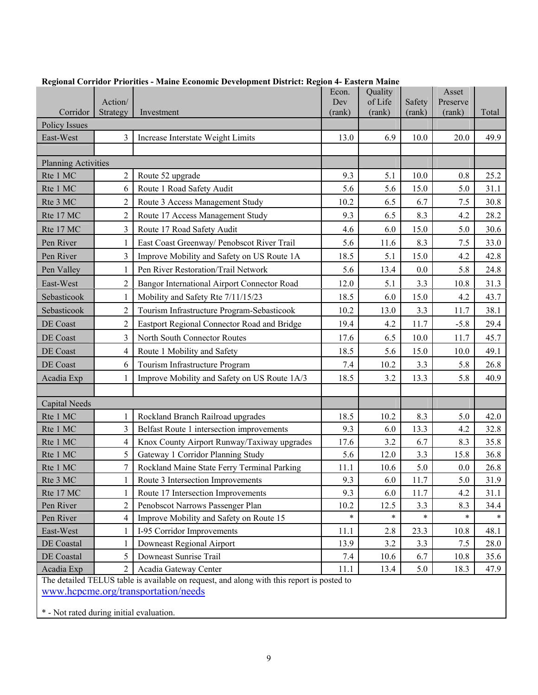|                                                                                           | Action/                 | requisit corruor rriorities - maine Economic Development District. Req | Econ.<br>Dev | Quality<br>of Life | Safety | Asset<br>Preserve |       |
|-------------------------------------------------------------------------------------------|-------------------------|------------------------------------------------------------------------|--------------|--------------------|--------|-------------------|-------|
| Corridor                                                                                  | Strategy                | Investment                                                             | (rank)       | (rank)             | (rank) | (rank)            | Total |
| <b>Policy Issues</b>                                                                      |                         |                                                                        |              |                    |        |                   |       |
| East-West                                                                                 | 3                       | Increase Interstate Weight Limits                                      | 13.0         | 6.9                | 10.0   | 20.0              | 49.9  |
|                                                                                           |                         |                                                                        |              |                    |        |                   |       |
| <b>Planning Activities</b>                                                                |                         |                                                                        |              |                    |        |                   |       |
| Rte 1 MC                                                                                  | 2                       | Route 52 upgrade                                                       | 9.3          | 5.1                | 10.0   | 0.8               | 25.2  |
| Rte 1 MC                                                                                  | 6                       | Route 1 Road Safety Audit                                              | 5.6          | 5.6                | 15.0   | 5.0               | 31.1  |
| Rte 3 MC                                                                                  | $\overline{2}$          | Route 3 Access Management Study                                        | 10.2         | 6.5                | 6.7    | 7.5               | 30.8  |
| Rte 17 MC                                                                                 | $\overline{2}$          | Route 17 Access Management Study                                       | 9.3          | 6.5                | 8.3    | 4.2               | 28.2  |
| Rte 17 MC                                                                                 | $\overline{3}$          | Route 17 Road Safety Audit                                             | 4.6          | 6.0                | 15.0   | 5.0               | 30.6  |
| Pen River                                                                                 | 1                       | East Coast Greenway/ Penobscot River Trail                             | 5.6          | 11.6               | 8.3    | 7.5               | 33.0  |
| Pen River                                                                                 | $\overline{3}$          | Improve Mobility and Safety on US Route 1A                             | 18.5         | 5.1                | 15.0   | 4.2               | 42.8  |
| Pen Valley                                                                                | 1                       | Pen River Restoration/Trail Network                                    | 5.6          | 13.4               | 0.0    | 5.8               | 24.8  |
| East-West                                                                                 | $\overline{2}$          | Bangor International Airport Connector Road                            | 12.0         | 5.1                | 3.3    | 10.8              | 31.3  |
| Sebasticook                                                                               | 1                       | Mobility and Safety Rte 7/11/15/23                                     | 18.5         | 6.0                | 15.0   | 4.2               | 43.7  |
| Sebasticook                                                                               | $\overline{2}$          | Tourism Infrastructure Program-Sebasticook                             | 10.2         | 13.0               | 3.3    | 11.7              | 38.1  |
| DE Coast                                                                                  | $\overline{2}$          | Eastport Regional Connector Road and Bridge                            | 19.4         | 4.2                | 11.7   | $-5.8$            | 29.4  |
| DE Coast                                                                                  | $\overline{3}$          | North South Connector Routes                                           | 17.6         | 6.5                | 10.0   | 11.7              | 45.7  |
| DE Coast                                                                                  | $\overline{\mathbf{4}}$ | Route 1 Mobility and Safety                                            | 18.5         | 5.6                | 15.0   | 10.0              | 49.1  |
| DE Coast                                                                                  | 6                       | Tourism Infrastructure Program                                         | 7.4          | 10.2               | 3.3    | 5.8               | 26.8  |
| Acadia Exp                                                                                | 1                       | Improve Mobility and Safety on US Route 1A/3                           | 18.5         | 3.2                | 13.3   | 5.8               | 40.9  |
|                                                                                           |                         |                                                                        |              |                    |        |                   |       |
| <b>Capital Needs</b>                                                                      |                         |                                                                        |              |                    |        |                   |       |
| Rte 1 MC                                                                                  | 1                       | Rockland Branch Railroad upgrades                                      | 18.5         | 10.2               | 8.3    | 5.0               | 42.0  |
| Rte 1 MC                                                                                  | $\overline{3}$          | Belfast Route 1 intersection improvements                              | 9.3          | 6.0                | 13.3   | 4.2               | 32.8  |
| Rte 1 MC                                                                                  | $\overline{4}$          | Knox County Airport Runway/Taxiway upgrades                            | 17.6         | 3.2                | 6.7    | 8.3               | 35.8  |
| Rte 1 MC                                                                                  | 5                       | Gateway 1 Corridor Planning Study                                      | 5.6          | 12.0               | 3.3    | 15.8              | 36.8  |
| Rte 1 MC                                                                                  | $\overline{7}$          | Rockland Maine State Ferry Terminal Parking                            | 11.1         | 10.6               | 5.0    | 0.0               | 26.8  |
| Rte 3 MC                                                                                  |                         | Route 3 Intersection Improvements                                      | 9.3          | 6.0                | 11.7   | 5.0               | 31.9  |
| Rte 17 MC                                                                                 | $\mathbf{1}$            | Route 17 Intersection Improvements                                     | 9.3          | 6.0                | 11.7   | 4.2               | 31.1  |
| Pen River                                                                                 | $\overline{2}$          | Penobscot Narrows Passenger Plan                                       | 10.2         | 12.5               | 3.3    | 8.3               | 34.4  |
| Pen River                                                                                 | 4                       | Improve Mobility and Safety on Route 15                                | $\ast$       | $\ast$             | $\ast$ | $\ast$            |       |
| East-West                                                                                 | 1                       | I-95 Corridor Improvements                                             | 11.1         | 2.8                | 23.3   | 10.8              | 48.1  |
| DE Coastal                                                                                | $\mathbf{1}$            | Downeast Regional Airport                                              | 13.9         | 3.2                | 3.3    | 7.5               | 28.0  |
| DE Coastal                                                                                | 5                       | Downeast Sunrise Trail                                                 | 7.4          | 10.6               | 6.7    | 10.8              | 35.6  |
| Acadia Exp                                                                                | $\overline{c}$          | Acadia Gateway Center                                                  | 11.1         | 13.4               | 5.0    | 18.3              | 47.9  |
| The detailed TELUS table is available on request, and along with this report is posted to |                         |                                                                        |              |                    |        |                   |       |
| www.hcpcme.org/transportation/needs                                                       |                         |                                                                        |              |                    |        |                   |       |

|  | Regional Corridor Priorities - Maine Economic Development District: Region 4- Eastern Maine |  |  |  |  |
|--|---------------------------------------------------------------------------------------------|--|--|--|--|
|--|---------------------------------------------------------------------------------------------|--|--|--|--|

\* - Not rated during initial evaluation.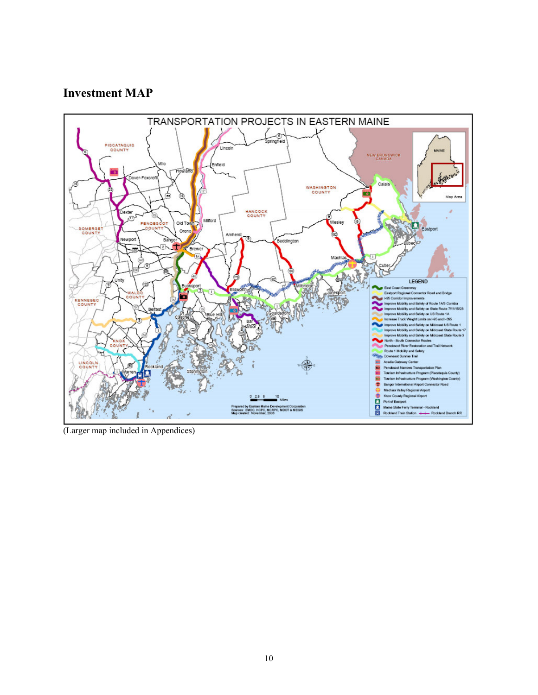# Investment MAP



(Larger map included in Appendices)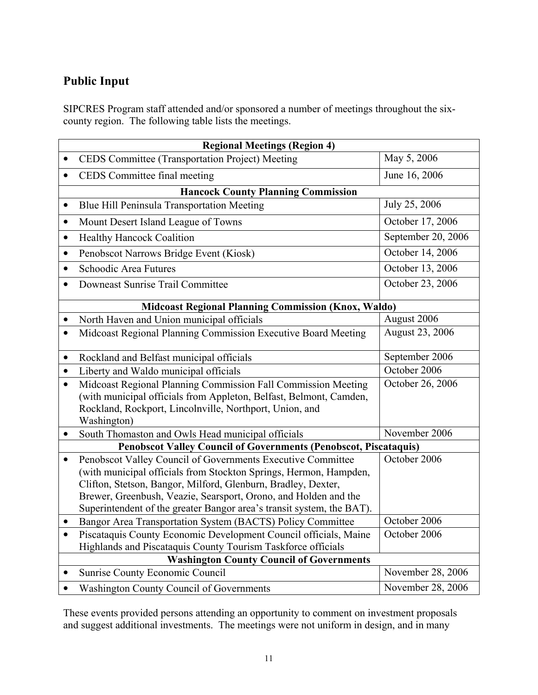# Public Input

SIPCRES Program staff attended and/or sponsored a number of meetings throughout the sixcounty region. The following table lists the meetings.

| <b>Regional Meetings (Region 4)</b>                                     |                                                                                                                                                                                                                                                                                                                                               |                    |  |  |  |
|-------------------------------------------------------------------------|-----------------------------------------------------------------------------------------------------------------------------------------------------------------------------------------------------------------------------------------------------------------------------------------------------------------------------------------------|--------------------|--|--|--|
|                                                                         | CEDS Committee (Transportation Project) Meeting                                                                                                                                                                                                                                                                                               | May 5, 2006        |  |  |  |
| $\bullet$                                                               | CEDS Committee final meeting                                                                                                                                                                                                                                                                                                                  | June 16, 2006      |  |  |  |
|                                                                         | <b>Hancock County Planning Commission</b>                                                                                                                                                                                                                                                                                                     |                    |  |  |  |
| $\bullet$                                                               | Blue Hill Peninsula Transportation Meeting                                                                                                                                                                                                                                                                                                    | July 25, 2006      |  |  |  |
| $\bullet$                                                               | Mount Desert Island League of Towns                                                                                                                                                                                                                                                                                                           | October 17, 2006   |  |  |  |
| $\bullet$                                                               | <b>Healthy Hancock Coalition</b>                                                                                                                                                                                                                                                                                                              | September 20, 2006 |  |  |  |
| $\bullet$                                                               | Penobscot Narrows Bridge Event (Kiosk)                                                                                                                                                                                                                                                                                                        | October 14, 2006   |  |  |  |
| $\bullet$                                                               | Schoodic Area Futures                                                                                                                                                                                                                                                                                                                         | October 13, 2006   |  |  |  |
| $\bullet$                                                               | Downeast Sunrise Trail Committee                                                                                                                                                                                                                                                                                                              | October 23, 2006   |  |  |  |
|                                                                         | <b>Midcoast Regional Planning Commission (Knox, Waldo)</b>                                                                                                                                                                                                                                                                                    |                    |  |  |  |
| $\bullet$                                                               | North Haven and Union municipal officials                                                                                                                                                                                                                                                                                                     | August 2006        |  |  |  |
| $\bullet$                                                               | Midcoast Regional Planning Commission Executive Board Meeting                                                                                                                                                                                                                                                                                 | August 23, 2006    |  |  |  |
| $\bullet$                                                               | Rockland and Belfast municipal officials                                                                                                                                                                                                                                                                                                      | September 2006     |  |  |  |
| $\bullet$                                                               | Liberty and Waldo municipal officials                                                                                                                                                                                                                                                                                                         | October 2006       |  |  |  |
| $\bullet$                                                               | Midcoast Regional Planning Commission Fall Commission Meeting<br>(with municipal officials from Appleton, Belfast, Belmont, Camden,<br>Rockland, Rockport, Lincolnville, Northport, Union, and<br>Washington)                                                                                                                                 | October 26, 2006   |  |  |  |
| $\bullet$                                                               | South Thomaston and Owls Head municipal officials                                                                                                                                                                                                                                                                                             | November 2006      |  |  |  |
| <b>Penobscot Valley Council of Governments (Penobscot, Piscataquis)</b> |                                                                                                                                                                                                                                                                                                                                               |                    |  |  |  |
| $\bullet$                                                               | Penobscot Valley Council of Governments Executive Committee<br>(with municipal officials from Stockton Springs, Hermon, Hampden,<br>Clifton, Stetson, Bangor, Milford, Glenburn, Bradley, Dexter,<br>Brewer, Greenbush, Veazie, Searsport, Orono, and Holden and the<br>Superintendent of the greater Bangor area's transit system, the BAT). | October 2006       |  |  |  |
| $\bullet$                                                               | Bangor Area Transportation System (BACTS) Policy Committee                                                                                                                                                                                                                                                                                    | October 2006       |  |  |  |
| $\bullet$                                                               | Piscataquis County Economic Development Council officials, Maine                                                                                                                                                                                                                                                                              | October 2006       |  |  |  |
|                                                                         | Highlands and Piscataquis County Tourism Taskforce officials<br><b>Washington County Council of Governments</b>                                                                                                                                                                                                                               |                    |  |  |  |
| $\bullet$                                                               | <b>Sunrise County Economic Council</b>                                                                                                                                                                                                                                                                                                        | November 28, 2006  |  |  |  |
|                                                                         | <b>Washington County Council of Governments</b>                                                                                                                                                                                                                                                                                               | November 28, 2006  |  |  |  |

These events provided persons attending an opportunity to comment on investment proposals and suggest additional investments. The meetings were not uniform in design, and in many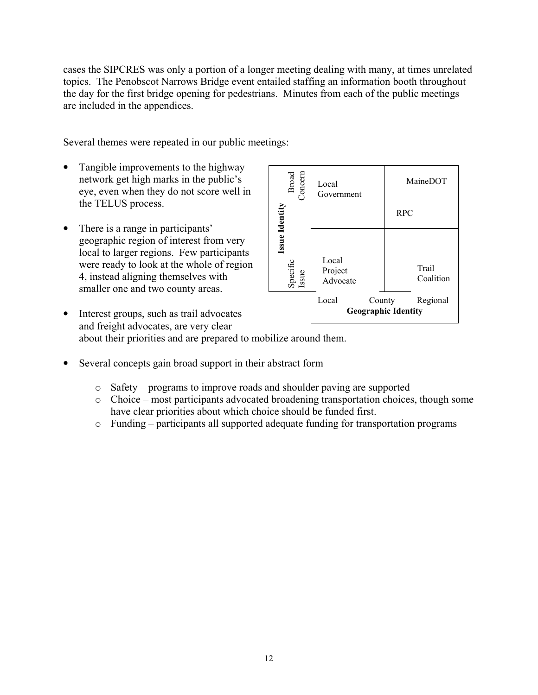cases the SIPCRES was only a portion of a longer meeting dealing with many, at times unrelated topics. The Penobscot Narrows Bridge event entailed staffing an information booth throughout the day for the first bridge opening for pedestrians. Minutes from each of the public meetings are included in the appendices.

Several themes were repeated in our public meetings:

- Tangible improvements to the highway network get high marks in the public's eye, even when they do not score well in the TELUS process.
- There is a range in participants' geographic region of interest from very local to larger regions. Few participants were ready to look at the whole of region 4, instead aligning themselves with smaller one and two county areas.

| Broad<br>Concern                    | Local<br>Government          | MaineDOT                                         |
|-------------------------------------|------------------------------|--------------------------------------------------|
|                                     |                              | <b>RPC</b>                                       |
| Issue Identity<br>Specific<br>Issue | Local<br>Project<br>Advocate | Trail<br>Coalition                               |
|                                     | Local                        | Regional<br>County<br><b>Geographic Identity</b> |

- Interest groups, such as trail advocates and freight advocates, are very clear about their priorities and are prepared to mobilize around them.
- Several concepts gain broad support in their abstract form
	- o Safety programs to improve roads and shoulder paving are supported
	- o Choice most participants advocated broadening transportation choices, though some have clear priorities about which choice should be funded first.
	- o Funding participants all supported adequate funding for transportation programs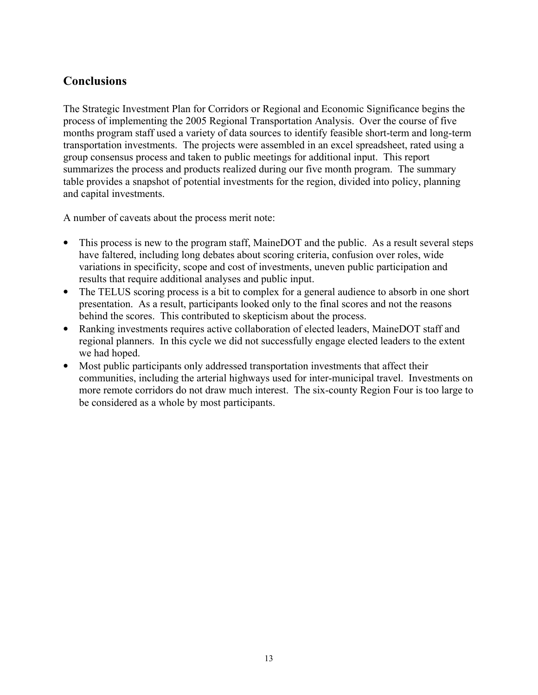# **Conclusions**

The Strategic Investment Plan for Corridors or Regional and Economic Significance begins the process of implementing the 2005 Regional Transportation Analysis. Over the course of five months program staff used a variety of data sources to identify feasible short-term and long-term transportation investments. The projects were assembled in an excel spreadsheet, rated using a group consensus process and taken to public meetings for additional input. This report summarizes the process and products realized during our five month program. The summary table provides a snapshot of potential investments for the region, divided into policy, planning and capital investments.

A number of caveats about the process merit note:

- This process is new to the program staff. MaineDOT and the public. As a result several steps have faltered, including long debates about scoring criteria, confusion over roles, wide variations in specificity, scope and cost of investments, uneven public participation and results that require additional analyses and public input.
- The TELUS scoring process is a bit to complex for a general audience to absorb in one short presentation. As a result, participants looked only to the final scores and not the reasons behind the scores. This contributed to skepticism about the process.
- Ranking investments requires active collaboration of elected leaders, MaineDOT staff and regional planners. In this cycle we did not successfully engage elected leaders to the extent we had hoped.
- Most public participants only addressed transportation investments that affect their communities, including the arterial highways used for inter-municipal travel. Investments on more remote corridors do not draw much interest. The six-county Region Four is too large to be considered as a whole by most participants.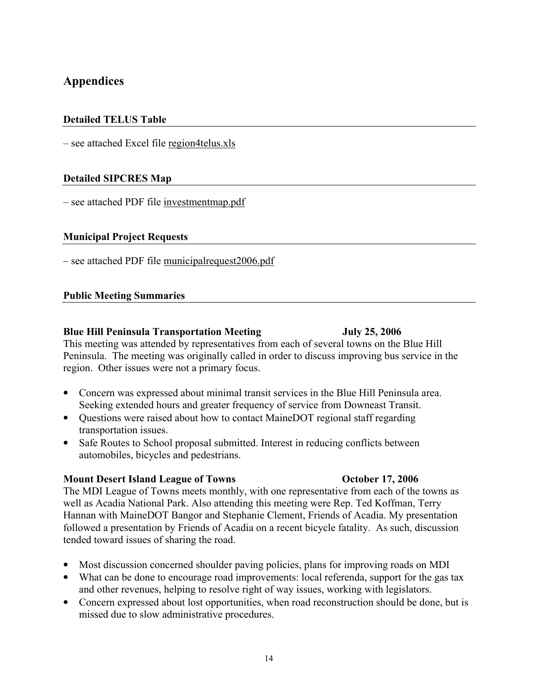# Appendices

## Detailed TELUS Table

– see attached Excel file region4telus.xls

## Detailed SIPCRES Map

– see attached PDF file investmentmap.pdf

### Municipal Project Requests

– see attached PDF file municipalrequest2006.pdf

### Public Meeting Summaries

### Blue Hill Peninsula Transportation Meeting Tuly 25, 2006

This meeting was attended by representatives from each of several towns on the Blue Hill Peninsula. The meeting was originally called in order to discuss improving bus service in the region. Other issues were not a primary focus.

- Concern was expressed about minimal transit services in the Blue Hill Peninsula area. Seeking extended hours and greater frequency of service from Downeast Transit.
- Questions were raised about how to contact MaineDOT regional staff regarding transportation issues.
- Safe Routes to School proposal submitted. Interest in reducing conflicts between automobiles, bicycles and pedestrians.

### Mount Desert Island League of Towns October 17, 2006

The MDI League of Towns meets monthly, with one representative from each of the towns as well as Acadia National Park. Also attending this meeting were Rep. Ted Koffman, Terry Hannan with MaineDOT Bangor and Stephanie Clement, Friends of Acadia. My presentation followed a presentation by Friends of Acadia on a recent bicycle fatality. As such, discussion tended toward issues of sharing the road.

- Most discussion concerned shoulder paving policies, plans for improving roads on MDI
- What can be done to encourage road improvements: local referenda, support for the gas tax and other revenues, helping to resolve right of way issues, working with legislators.
- Concern expressed about lost opportunities, when road reconstruction should be done, but is missed due to slow administrative procedures.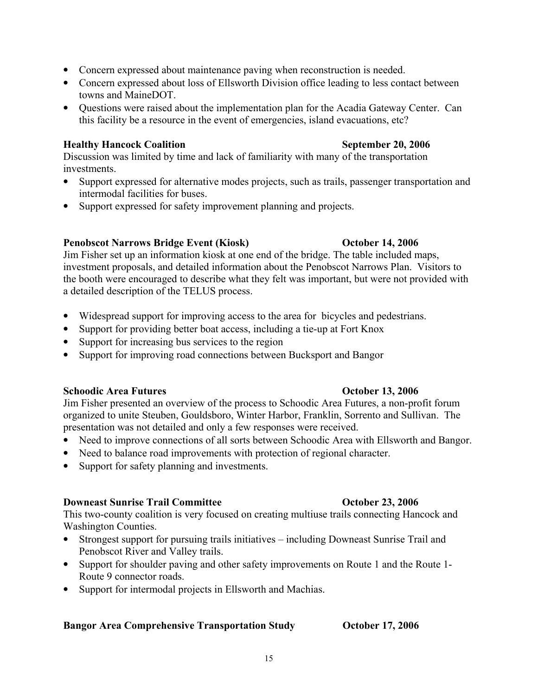- Concern expressed about maintenance paving when reconstruction is needed.
- Concern expressed about loss of Ellsworth Division office leading to less contact between towns and MaineDOT.
- Ouestions were raised about the implementation plan for the Acadia Gateway Center. Can this facility be a resource in the event of emergencies, island evacuations, etc?

# Healthy Hancock Coalition September 20, 2006

Discussion was limited by time and lack of familiarity with many of the transportation investments.

- Support expressed for alternative modes projects, such as trails, passenger transportation and intermodal facilities for buses.
- Support expressed for safety improvement planning and projects.

# Penobscot Narrows Bridge Event (Kiosk) Corober 14, 2006

Jim Fisher set up an information kiosk at one end of the bridge. The table included maps, investment proposals, and detailed information about the Penobscot Narrows Plan. Visitors to the booth were encouraged to describe what they felt was important, but were not provided with a detailed description of the TELUS process.

- Widespread support for improving access to the area for bicycles and pedestrians.
- Support for providing better boat access, including a tie-up at Fort Knox
- Support for increasing bus services to the region
- Support for improving road connections between Bucksport and Bangor

# Schoodic Area Futures **Schoodic Area Futures Constanting Constanting Constanting Constanting Constanting Constanting Constanting Constanting Constanting Constanting Constanting Constanting Constanting Constanting Constan**

Jim Fisher presented an overview of the process to Schoodic Area Futures, a non-profit forum organized to unite Steuben, Gouldsboro, Winter Harbor, Franklin, Sorrento and Sullivan. The presentation was not detailed and only a few responses were received.

- Need to improve connections of all sorts between Schoodic Area with Ellsworth and Bangor.
- Need to balance road improvements with protection of regional character.
- Support for safety planning and investments.

# Downeast Sunrise Trail Committee **October 23, 2006**

This two-county coalition is very focused on creating multiuse trails connecting Hancock and Washington Counties.

- Strongest support for pursuing trails initiatives including Downeast Sunrise Trail and Penobscot River and Valley trails.
- Support for shoulder paving and other safety improvements on Route 1 and the Route 1-Route 9 connector roads.
- Support for intermodal projects in Ellsworth and Machias.

# Bangor Area Comprehensive Transportation Study October 17, 2006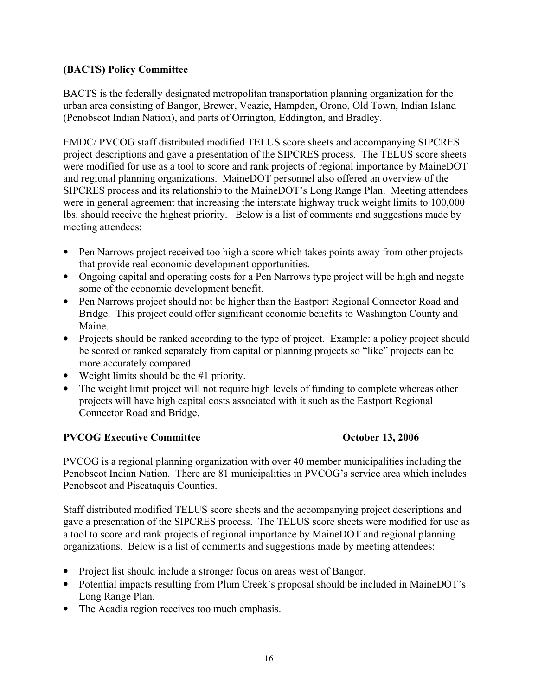## (BACTS) Policy Committee

BACTS is the federally designated metropolitan transportation planning organization for the urban area consisting of Bangor, Brewer, Veazie, Hampden, Orono, Old Town, Indian Island (Penobscot Indian Nation), and parts of Orrington, Eddington, and Bradley.

EMDC/ PVCOG staff distributed modified TELUS score sheets and accompanying SIPCRES project descriptions and gave a presentation of the SIPCRES process. The TELUS score sheets were modified for use as a tool to score and rank projects of regional importance by MaineDOT and regional planning organizations. MaineDOT personnel also offered an overview of the SIPCRES process and its relationship to the MaineDOT's Long Range Plan. Meeting attendees were in general agreement that increasing the interstate highway truck weight limits to 100,000 lbs. should receive the highest priority. Below is a list of comments and suggestions made by meeting attendees:

- Pen Narrows project received too high a score which takes points away from other projects that provide real economic development opportunities.
- Ongoing capital and operating costs for a Pen Narrows type project will be high and negate some of the economic development benefit.
- Pen Narrows project should not be higher than the Eastport Regional Connector Road and Bridge. This project could offer significant economic benefits to Washington County and Maine.
- Projects should be ranked according to the type of project. Example: a policy project should be scored or ranked separately from capital or planning projects so "like" projects can be more accurately compared.
- Weight limits should be the #1 priority.
- The weight limit project will not require high levels of funding to complete whereas other projects will have high capital costs associated with it such as the Eastport Regional Connector Road and Bridge.

## PVCOG Executive Committee **Committee Committee Committee Constanting Constanting Constanting October 13, 2006**

PVCOG is a regional planning organization with over 40 member municipalities including the Penobscot Indian Nation. There are 81 municipalities in PVCOG's service area which includes Penobscot and Piscataquis Counties.

Staff distributed modified TELUS score sheets and the accompanying project descriptions and gave a presentation of the SIPCRES process. The TELUS score sheets were modified for use as a tool to score and rank projects of regional importance by MaineDOT and regional planning organizations. Below is a list of comments and suggestions made by meeting attendees:

- Project list should include a stronger focus on areas west of Bangor.
- Potential impacts resulting from Plum Creek's proposal should be included in MaineDOT's Long Range Plan.
- The Acadia region receives too much emphasis.